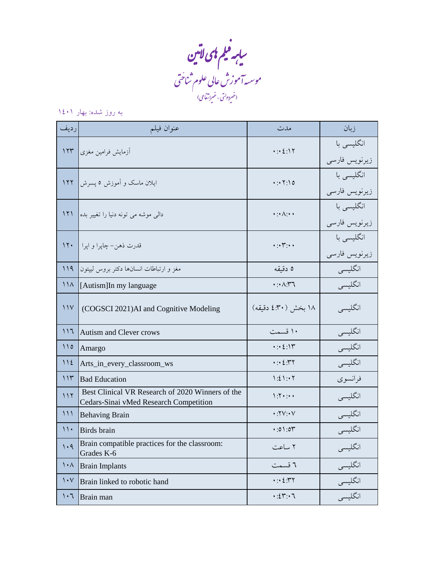بابر فیلم <sup>پ</sup>ای لاتین ف س وسس**ه آموزش عالی علوم ثناختی** ل م م (غىردو<sup>ل</sup>تى - غىراتى*فاع*ى نت  $\overline{(}$ 

## به روز شده: بهار 1401

| ر ديف                   | عنوان فيلم                                                                                 | مدت                                          | زبان                        |
|-------------------------|--------------------------------------------------------------------------------------------|----------------------------------------------|-----------------------------|
| 157                     | أزمايش فرامين مغزى                                                                         | $\cdot : \cdot \Sigma : \mathcal{N}$         | انگلیسی با<br>زيرنويس فارسى |
| 177                     | ایلان ماسک و آموزش ۵ پسرش                                                                  | $\cdot: \cdot \cdot \cdot \cdot \circ$       | انگلیسی با<br>زيرنويس فارسى |
| 171                     | دالی موشه می تونه دنیا را تغییر بده                                                        | $\cdot : \wedge : \cdot$                     | انگلیسی با<br>زيرنويس فارسى |
| 17.                     | قدرت ذهن- چاپرا و اپرا                                                                     | $\cdots$ $\cdots$                            | انگلیسی با<br>زيرنويس فارسى |
| 119                     | مغز و ارتباطات انسانها دکتر بروس لیپتون                                                    | ٥ دقيقه                                      | انگلیسی                     |
| 11 <sub>A</sub>         | [Autism]In my language                                                                     | $\cdot : \wedge$ . ٣٦                        | انگليسي                     |
| $\frac{1}{\sqrt{2}}$    | (COGSCI 2021)AI and Cognitive Modeling                                                     | ١٨ بخش (٣٠٪ دقيقه)                           | انگلیسی                     |
| 117                     | <b>Autism and Clever crows</b>                                                             | ۱۰ قسمت                                      | انگلیسی                     |
| $\bigwedge$             | Amargo                                                                                     | $\cdot: \cdot \Sigma : \mathbb{Y}$           | انگلیسی                     |
| 112                     | Arts_in_every_classroom_ws                                                                 | $\cdots$ $\zeta$ . $\gamma$ $\gamma$         | انگليسي                     |
| 115                     | <b>Bad Education</b>                                                                       | 1:21:1                                       | فرانسوي                     |
| 117                     | Best Clinical VR Research of 2020 Winners of the<br>Cedars-Sinai vMed Research Competition | $\mathcal{N}$                                | انگلیسی                     |
| 111                     | <b>Behaving Brain</b>                                                                      | $\cdot$ . $\cdot \vee \cdot \vee$            | انگلیسی                     |
| $\mathcal{N}$           | Birds brain                                                                                | 0.01:00                                      | انگليسي                     |
| 1.9                     | Brain compatible practices for the classroom:<br>Grades K-6                                | ۲ ساعت                                       | انگلیسی                     |
| $\lambda \cdot \Lambda$ | <b>Brain Implants</b>                                                                      | ٦ قسمت                                       | ۔<br>انگلیسی                |
| $\mathcal{N}$           | Brain linked to robotic hand                                                               | $\cdot: \cdot \circ \cdot \cdot \cdot \cdot$ | انگلیسی<br>انگلیسی          |
| $\cdot 7$               | Brain man                                                                                  | $\cdot:24:7$                                 |                             |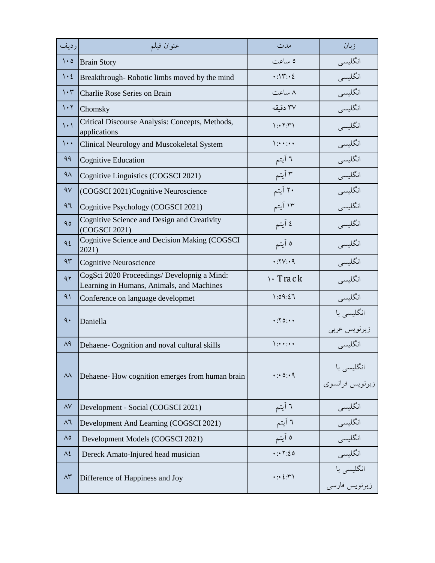| رديف                            | عنوان فيلم                                                                               | مدت                                                | زبان                          |
|---------------------------------|------------------------------------------------------------------------------------------|----------------------------------------------------|-------------------------------|
| $\mathcal{L} \cdot \mathcal{O}$ | <b>Brain Story</b>                                                                       | ٥ ساعت                                             | انگلیسی                       |
| $\mathcal{N} \cdot \mathcal{E}$ | Breakthrough-Robotic limbs moved by the mind                                             | $\cdot$ :\\r: $\cdot$ {                            | انگلیسی                       |
| $\mathcal{N}$                   | Charlie Rose Series on Brain                                                             | ۸ ساعت                                             | انگلیسی                       |
| $\mathcal{N}$                   | Chomsky                                                                                  | ٣٧ دقيقه                                           | انگلیسی                       |
| $\langle \cdot \rangle$         | Critical Discourse Analysis: Concepts, Methods,<br>applications                          | $\gamma: Y,Y$                                      | انگلیسی                       |
| $\cdots$                        | Clinical Neurology and Muscokeletal System                                               | $1:***$                                            | انگلیسی                       |
| 99                              | <b>Cognitive Education</b>                                                               | ٦ آيتم                                             | انگلیسی                       |
| $4\lambda$                      | Cognitive Linguistics (COGSCI 2021)                                                      | ۳ آیتم                                             | انگلیسی                       |
| 4V                              | (COGSCI 2021)Cognitive Neuroscience                                                      | ۲۰ آیتم                                            | انگلیسی                       |
| 97                              | Cognitive Psychology (COGSCI 2021)                                                       | ۱۳ آیتم                                            | انگلیسی                       |
| 90                              | Cognitive Science and Design and Creativity<br>(COGSCI 2021)                             | ٤ آيتم                                             | انگلیسی                       |
| 95                              | Cognitive Science and Decision Making (COGSCI<br>2021)                                   | ه آیتم                                             | انگليسي                       |
| 95                              | Cognitive Neuroscience                                                                   | $\cdot$ : $YV:4$                                   | انگلیسی                       |
| 97                              | CogSci 2020 Proceedings/ Developnig a Mind:<br>Learning in Humans, Animals, and Machines | $\cdot$ Track                                      | انگلیسی                       |
| 91                              | Conference on language developmet                                                        | 1:09:27                                            | انگلیسی                       |
| $\mathcal{A}$ .                 | Daniella                                                                                 | .70:1.                                             | انگلیسی با<br>زيرنويس عربى    |
| $\Lambda$ ٩                     | Dehaene- Cognition and noval cultural skills                                             | $\sum_{i=1}^{n}$                                   | انگليسي                       |
| ۸۸                              | Dehaene-How cognition emerges from human brain                                           | 4:0:9                                              | انگلیسی با<br>زیرنویس فرانسوی |
| $\Lambda\mathrm{V}$             | Development - Social (COGSCI 2021)                                                       | ٦ آيتم                                             | انگلیسی                       |
| $\wedge$                        | Development And Learning (COGSCI 2021)                                                   | ٦ آيتم                                             | انگلیسی                       |
| $\wedge\circ$                   | Development Models (COGSCI 2021)                                                         | ه آیتم                                             | انگلیسی                       |
| $\Lambda$ ٤                     | Dereck Amato-Injured head musician                                                       | .7.7:20                                            | انگلیسی                       |
| $\wedge\!\check{r}$             | Difference of Happiness and Joy                                                          | $\cdot: \cdot \circ \cdot \cdot \cdot \cdot \cdot$ | انگلیسی با<br>زیرنویس فارسی   |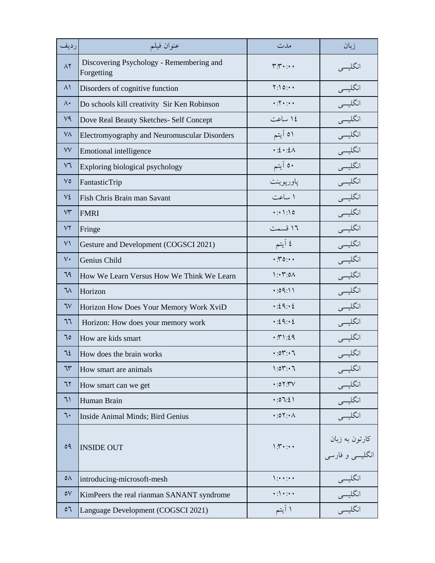| رديف           | عنوان فيلم                                             | مدت                                 | زبان                                   |
|----------------|--------------------------------------------------------|-------------------------------------|----------------------------------------|
| $\Lambda$ ٢    | Discovering Psychology - Remembering and<br>Forgetting | $r_1, \ldots$                       | انگلیسی                                |
| $\lambda$      | Disorders of cognitive function                        | Y:10:4                              | انگلیسی                                |
| $\Lambda$      | Do schools kill creativity Sir Ken Robinson            | $*:\!Y*:\!**$                       | انگلیسی                                |
| V <sup>q</sup> | Dove Real Beauty Sketches- Self Concept                | ١٤ ساعت                             | انگلیسی                                |
| VV.            | Electromyography and Neuromuscular Disorders           | ٥١ آيتم                             | انگلیسی                                |
| VV             | <b>Emotional intelligence</b>                          | $\cdot$ : { $\cdot$ : { $\wedge$    | انگلیسی                                |
| $V\mathcal{A}$ | Exploring biological psychology                        | ٥٠ آيتم                             | انگلیسی                                |
| $V\circ$       | FantasticTrip                                          | پاورپوينت                           | انگلیسی                                |
| ٧٤             | Fish Chris Brain man Savant                            | ١ ساعت                              | انگلیسی                                |
| $\vee\uparrow$ | <b>FMRI</b>                                            | 4:1:10                              | انگلیسی                                |
| VY             | Fringe                                                 | ١٦ قسمت                             | انگلیسی                                |
| $\vee\uparrow$ | Gesture and Development (COGSCI 2021)                  | ٤ آيتم                              | انگلیسی                                |
| $V\cdot$       | Genius Child                                           | $\cdot$ . $\cdot$ . $\cdot$         | انگلیسی                                |
| 79             | How We Learn Versus How We Think We Learn              | $\mathcal{N}: \mathcal{N}:O\Lambda$ | انگلیسی                                |
| $7\wedge$      | Horizon                                                | 0.111                               | انگلیسی                                |
| 7V             | Horizon How Does Your Memory Work XviD                 | .29:2                               | انگلیسی                                |
| 77             | Horizon: How does your memory work                     | $\cdot:29:2$                        | انگلیسی                                |
| ٦٥             | How are kids smart                                     | .71.29                              | انگلیسی                                |
| 72             | How does the brain works                               | 0.07:7                              | انگلیسی                                |
| ٦٣             | How smart are animals                                  | 1:01:7                              | انگلیسی                                |
| ٦٢             | How smart can we get                                   | $\cdot : 0 \Upsilon : Y \vee$       | ۔<br>انگلیسی                           |
| 71             | Human Brain                                            | 0.3:21                              | انگلیسی                                |
| ٦.             | Inside Animal Minds; Bird Genius                       | $\cdot:0$ $\cdot \cdot \wedge$      | انگليسي                                |
| 09             | <b>INSIDE OUT</b>                                      | $\mathcal{N}$                       | کارتون به زبان<br>.<br>انگلیسی و فارسی |
| $\circ \wedge$ | introducing-microsoft-mesh                             | $\sum_{i=1}^{n}$                    | انگلیسی                                |
| $\circ \vee$   | KimPeers the real rianman SANANT syndrome              | $\cdot$ :\ $\cdot$ : $\cdot$        |                                        |
| $\circ$        | Language Development (COGSCI 2021)                     | ۱ آیتم                              |                                        |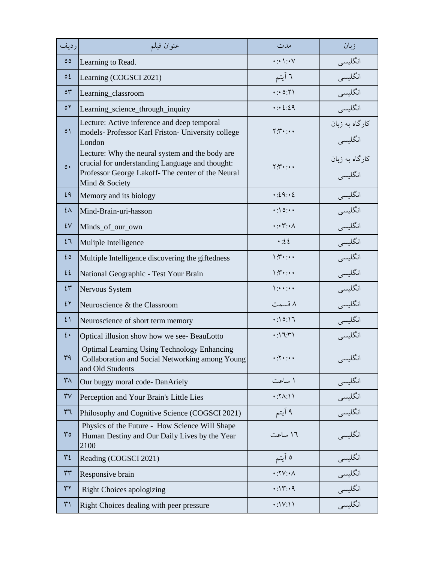| رديف                       | عنوان فيلم                                                                                                                                                                | مدت                                      | زبان                      |
|----------------------------|---------------------------------------------------------------------------------------------------------------------------------------------------------------------------|------------------------------------------|---------------------------|
| $\circ \circ$              | Learning to Read.                                                                                                                                                         | $\cdot: \cdot \wedge : \cdot \vee$       | انگلیسی                   |
| $\circ \epsilon$           | Learning (COGSCI 2021)                                                                                                                                                    | ٦ آيتم                                   | انگلیسی                   |
| $\circ \tau$               | Learning_classroom                                                                                                                                                        | 4:0:71                                   | انگلیسی                   |
| $\circ$                    | Learning_science_through_inquiry                                                                                                                                          | $\cdot : 2:29$                           | انگلیسی                   |
| $\circ$                    | Lecture: Active inference and deep temporal<br>models- Professor Karl Friston- University college<br>London                                                               | $Y: Y \rightarrow Y$                     | كارگاه به زبان<br>انگليسي |
| $\circ$                    | Lecture: Why the neural system and the body are<br>crucial for understanding Language and thought:<br>Professor George Lakoff- The center of the Neural<br>Mind & Society | $Y:Y \rightarrow Y$                      | كارگاه به زبان<br>انگلیسی |
| ٤٩                         | Memory and its biology                                                                                                                                                    | .29:2                                    | انگلیسی                   |
| ٤٨                         | Mind-Brain-uri-hasson                                                                                                                                                     | $\cdot$ : \ 0 : $\cdot$                  | انگلیسی                   |
| $\mathcal{E}(\mathcal{V})$ | Minds_of_our_own                                                                                                                                                          | $\cdot: \cdot \mathsf{Y} : \cdot \wedge$ | انگلیسی                   |
| 27                         | Muliple Intelligence                                                                                                                                                      | $\cdot:22$                               | انگلیسی                   |
| ٤٥                         | Multiple Intelligence discovering the giftedness                                                                                                                          | $\mathcal{N}$ :                          | انگلیسی                   |
| 22                         | National Geographic - Test Your Brain                                                                                                                                     | $\mathcal{N}$ :                          | انگلیسی                   |
| $2\tilde{r}$               | Nervous System                                                                                                                                                            | $\sum_{i=1}^{n}$                         | انگلیسی                   |
| 27                         | Neuroscience & the Classroom                                                                                                                                              | ۸ قسمت                                   | انگلیسی                   |
| 21                         | Neuroscience of short term memory                                                                                                                                         | .0:17                                    | انگلیسی                   |
| $\mathfrak{t}$ .           | Optical illusion show how we see- BeauLotto                                                                                                                               | $\cdot$ :\'\'\'\                         | انگلیسی                   |
| ٣٩                         | <b>Optimal Learning Using Technology Enhancing</b><br>Collaboration and Social Networking among Young<br>and Old Students                                                 | $\cdot \cdot \cdot \cdot$                | انگلیسی                   |
| $\mathsf{r}_\Lambda$       | Our buggy moral code-DanAriely                                                                                                                                            | ۱ ساعت                                   | انگلیسی                   |
| $\mathsf{r}\mathsf{v}$     | Perception and Your Brain's Little Lies                                                                                                                                   | $\cdot$ : $\land$ : $\land$ $\land$      | انگلیسی                   |
| $r\tau$                    | Philosophy and Cognitive Science (COGSCI 2021)                                                                                                                            | ۹ اَيتم                                  | انگلیسی                   |
| ro                         | Physics of the Future - How Science Will Shape<br>Human Destiny and Our Daily Lives by the Year<br>2100                                                                   | ١٦ ساعت                                  | انگلیسی                   |
| $\mathsf{r}\mathsf{t}$     | Reading (COGSCI 2021)                                                                                                                                                     | ه آیتم                                   | انگلیسی                   |
| $\Upsilon\Upsilon$         | Responsive brain                                                                                                                                                          | $\cdot$ :۲۷:۰۸                           | انگلیسی                   |
| $\tau\tau$                 | <b>Right Choices apologizing</b>                                                                                                                                          | $\cdot$ :۱۳:۰۹                           | انگلیسی<br>انگلیسی        |
| $\uparrow\uparrow$         | Right Choices dealing with peer pressure                                                                                                                                  | $\cdot$ :\V:\\                           |                           |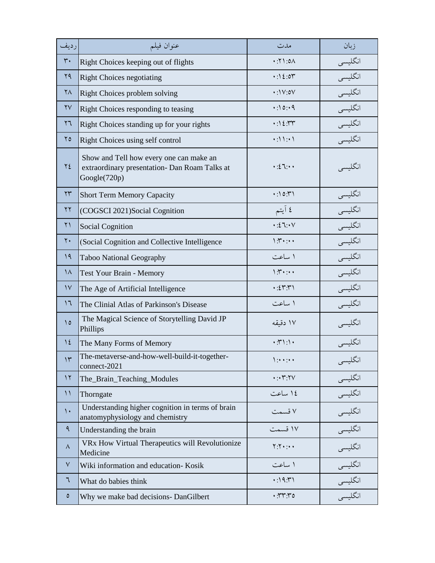| رديف                   | عنوان فيلم                                                                                               | مدت                                                            | زبان                                             |
|------------------------|----------------------------------------------------------------------------------------------------------|----------------------------------------------------------------|--------------------------------------------------|
| $\mathbf{r}$ .         | Right Choices keeping out of flights                                                                     | $\wedge$ . ( $\gamma$ :                                        | انگلیسی                                          |
| 79                     | <b>Right Choices negotiating</b>                                                                         | $\cdot$ :\ {:07                                                | انگلیسی                                          |
| $\mathsf{Y}\Lambda$    | Right Choices problem solving                                                                            | $\cdot$ :\V:0V                                                 | انگلیسی                                          |
| $\mathsf{Y}\mathsf{V}$ | Right Choices responding to teasing                                                                      | .0:10:4                                                        | انگلیسی                                          |
| $\mathbf{y}$           | Right Choices standing up for your rights                                                                | $\cdot$ :۱٤:٣٣                                                 | انگلیسی                                          |
| $\mathbf{y}$           | Right Choices using self control                                                                         | (1)                                                            | انگلیسی                                          |
| ٢٤                     | Show and Tell how every one can make an<br>extraordinary presentation- Dan Roam Talks at<br>Google(720p) | $\cdot : 27 : 44$                                              | انگليسي                                          |
| $\mathsf{Y}\mathsf{Y}$ | <b>Short Term Memory Capacity</b>                                                                        | $\cdot$ :۱0: $\uparrow$ ۱                                      | انگلیسی                                          |
| $\gamma \gamma$        | (COGSCI 2021)Social Cognition                                                                            | ٤ آيتم                                                         | انگلیسی                                          |
| $\uparrow$ )           | <b>Social Cognition</b>                                                                                  | $\cdot:27:1$                                                   | انگلیسی                                          |
| $\mathbf{y}$ .         | (Social Cognition and Collective Intelligence                                                            | $\mathcal{N}$ :                                                | انگلیسی                                          |
| 19                     | Taboo National Geography                                                                                 | ۱ ساعت                                                         | انگلیسی                                          |
| $\lambda$              | <b>Test Your Brain - Memory</b>                                                                          | $\mathcal{N}$ :                                                | انگلیسی                                          |
| $\mathcal{V}$          | The Age of Artificial Intelligence                                                                       | $\cdot$ : $\zeta$ $\Upsilon$ $\Upsilon$ $\Upsilon$             | انگلیسی                                          |
| 17                     | The Clinial Atlas of Parkinson's Disease                                                                 | ۱ ساعت                                                         | انگلیسی                                          |
| $\Omega$               | The Magical Science of Storytelling David JP<br>Phillips                                                 | ١٧ دقيقه                                                       | انگلیسی                                          |
| $\frac{1}{2}$          | The Many Forms of Memory                                                                                 | $\cdot$ : $\uparrow$ ) : $\uparrow$                            | أنگليسى                                          |
| $\gamma$               | The-metaverse-and-how-well-build-it-together-<br>connect-2021                                            | $\sum_{i=1}^{n}$                                               | انگلیسی                                          |
| $\gamma$               | The_Brain_Teaching_Modules                                                                               | $\cdot: \cdot \mathsf{Y}:\mathsf{Y}\vee$                       | _____________________________<br>انگلیس <i>ی</i> |
| $\setminus$            | Thorngate                                                                                                | ١٤ ساعت                                                        | انگلیسی                                          |
| $\mathcal{L}$          | Understanding higher cognition in terms of brain<br>anatomyphysiology and chemistry                      | ۷ قسمت                                                         | انگلیسی                                          |
| ٩                      | Understanding the brain                                                                                  | ١٧ قسمت                                                        | انگلیسی                                          |
| Λ                      | VRx How Virtual Therapeutics will Revolutionize<br>Medicine                                              | $Y:Y \rightarrow Y$                                            | انگلیسی                                          |
| $\vee$                 | Wiki information and education- Kosik                                                                    | ۱ ساعت                                                         | انگلیسی                                          |
| ٦                      | What do babies think                                                                                     | $\cdot$ :19: $\cdot$                                           | انگلیسی<br>انگلیسی                               |
| $\circ$                | Why we make bad decisions- DanGilbert                                                                    | $\cdot$ . $\mathsf{r}\mathsf{r}\mathsf{r}$ . $\mathsf{r}\circ$ |                                                  |